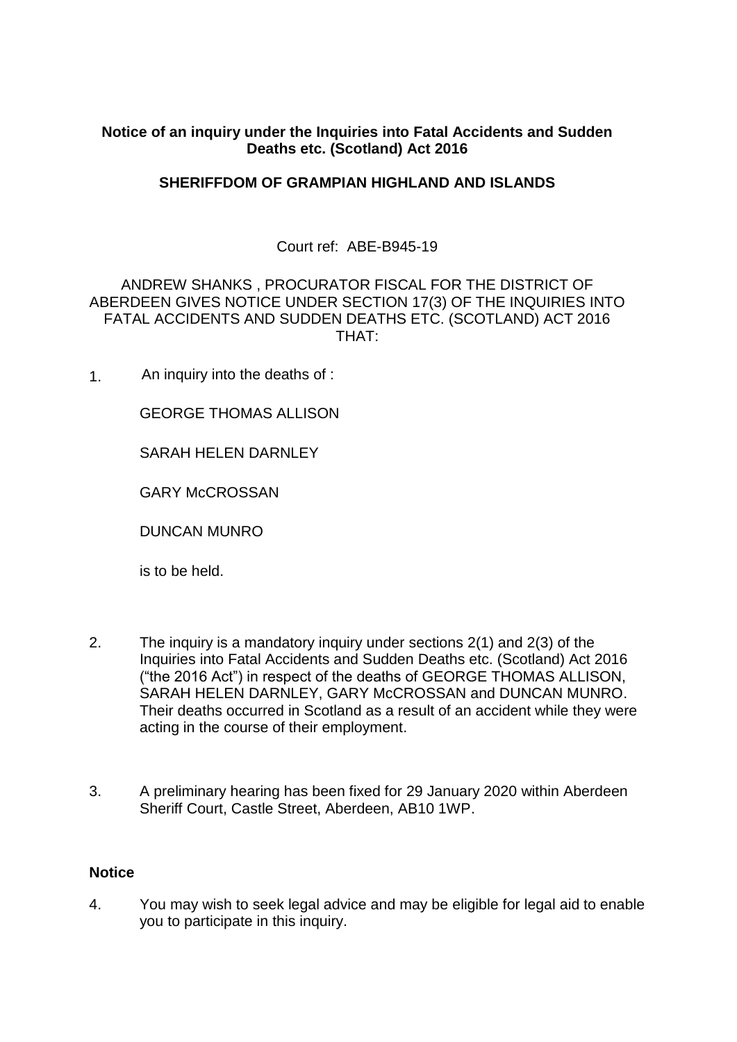# **Notice of an inquiry under the Inquiries into Fatal Accidents and Sudden Deaths etc. (Scotland) Act 2016**

# **SHERIFFDOM OF GRAMPIAN HIGHLAND AND ISLANDS**

# Court ref: ABE-B945-19

# ANDREW SHANKS , PROCURATOR FISCAL FOR THE DISTRICT OF ABERDEEN GIVES NOTICE UNDER SECTION 17(3) OF THE INQUIRIES INTO FATAL ACCIDENTS AND SUDDEN DEATHS ETC. (SCOTLAND) ACT 2016 THAT:

1. An inquiry into the deaths of :

GEORGE THOMAS ALLISON

SARAH HELEN DARNLEY

GARY McCROSSAN

DUNCAN MUNRO

is to be held.

- 2. The inquiry is a mandatory inquiry under sections 2(1) and 2(3) of the Inquiries into Fatal Accidents and Sudden Deaths etc. (Scotland) Act 2016 ("the 2016 Act") in respect of the deaths of GEORGE THOMAS ALLISON, SARAH HELEN DARNLEY, GARY McCROSSAN and DUNCAN MUNRO. Their deaths occurred in Scotland as a result of an accident while they were acting in the course of their employment.
- 3. A preliminary hearing has been fixed for 29 January 2020 within Aberdeen Sheriff Court, Castle Street, Aberdeen, AB10 1WP.

#### **Notice**

4. You may wish to seek legal advice and may be eligible for legal aid to enable you to participate in this inquiry.